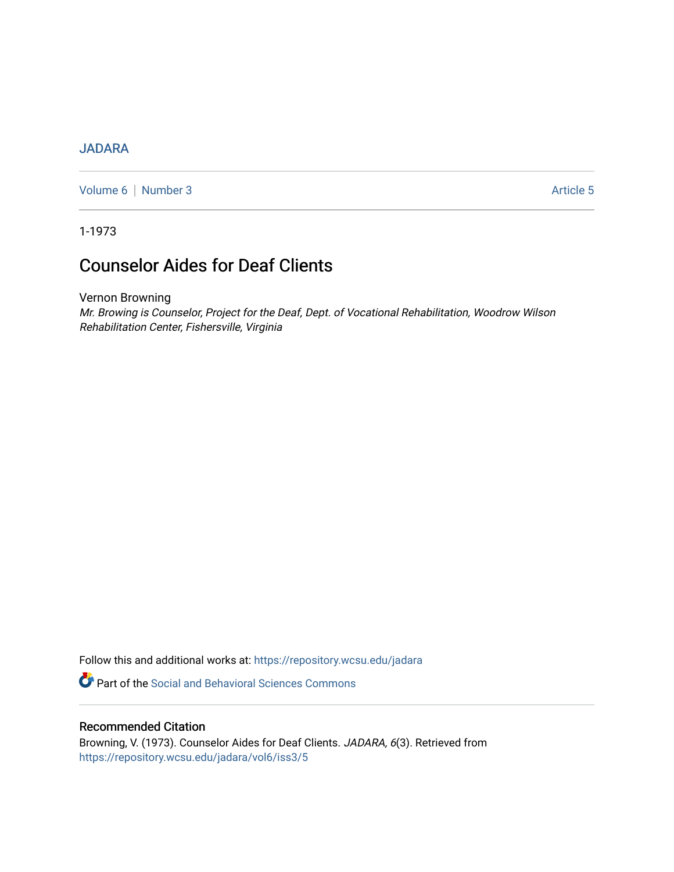## **[JADARA](https://repository.wcsu.edu/jadara)**

[Volume 6](https://repository.wcsu.edu/jadara/vol6) | [Number 3](https://repository.wcsu.edu/jadara/vol6/iss3) Article 5

1-1973

# Counselor Aides for Deaf Clients

Vernon Browning

Mr. Browing is Counselor, Project for the Deaf, Dept. of Vocational Rehabilitation, Woodrow Wilson Rehabilitation Center, Fishersville, Virginia

Follow this and additional works at: [https://repository.wcsu.edu/jadara](https://repository.wcsu.edu/jadara?utm_source=repository.wcsu.edu%2Fjadara%2Fvol6%2Fiss3%2F5&utm_medium=PDF&utm_campaign=PDFCoverPages)

**P** Part of the Social and Behavioral Sciences Commons

### Recommended Citation

Browning, V. (1973). Counselor Aides for Deaf Clients. JADARA, 6(3). Retrieved from [https://repository.wcsu.edu/jadara/vol6/iss3/5](https://repository.wcsu.edu/jadara/vol6/iss3/5?utm_source=repository.wcsu.edu%2Fjadara%2Fvol6%2Fiss3%2F5&utm_medium=PDF&utm_campaign=PDFCoverPages)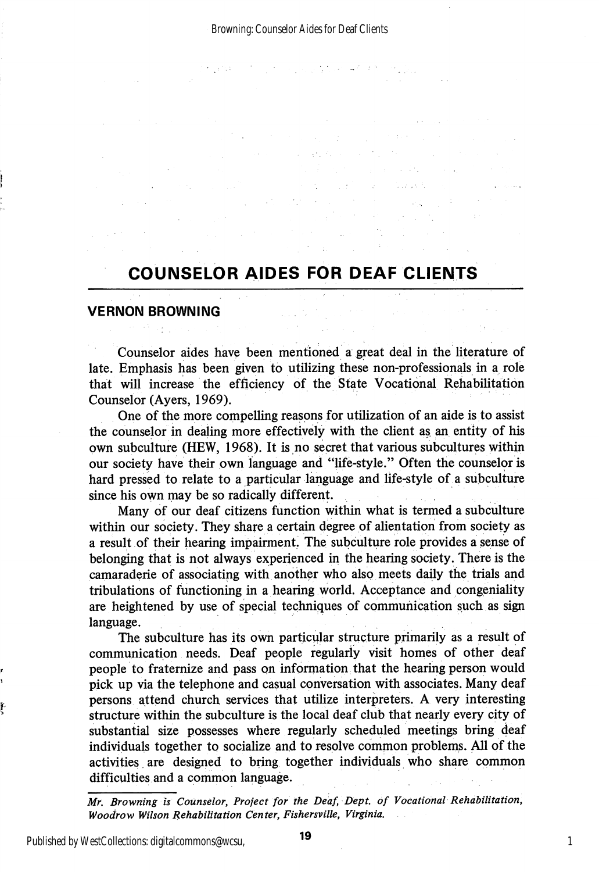$\label{eq:2.1} \mathcal{L}(\mathcal{L}^{\text{max}}_{\text{max}}(\mathcal{L}^{\text{max}}_{\text{max}}), \mathcal{L}^{\text{max}}_{\text{max}})$ 

 $\sim 10^{11}$ 

 $\label{eq:2.1} \mathcal{E}_{\mathbf{z}}\left(\mathcal{E}_{\mathbf{z}}\right)=\mathcal{E}_{\mathbf{z}}\left(\mathcal{E}_{\mathbf{z}}\right)=\mathcal{E}_{\mathbf{z}}\left(\mathcal{E}_{\mathbf{z}}\right)=\mathcal{E}_{\mathbf{z}}\left(\mathcal{E}_{\mathbf{z}}\right).$ 

 $\label{eq:2.1} \mathcal{L}(\mathcal{L}^{\mathcal{L}}(\mathcal{L}^{\mathcal{L}}(\mathcal{L}^{\mathcal{L}}(\mathcal{L}^{\mathcal{L}}(\mathcal{L}^{\mathcal{L}}(\mathcal{L}^{\mathcal{L}}(\mathcal{L}^{\mathcal{L}}(\mathcal{L}^{\mathcal{L}}(\mathcal{L}^{\mathcal{L}}(\mathcal{L}^{\mathcal{L}}(\mathcal{L}^{\mathcal{L}}(\mathcal{L}^{\mathcal{L}}(\mathcal{L}^{\mathcal{L}}(\mathcal{L}^{\mathcal{L}}(\mathcal{L}^{\mathcal{L}}(\mathcal{L}^{\mathcal$ 

## COUNSELOR AIDES FOR DEAF CLIENTS

a series and the series of the state of the series of the series of the series of the series of the series of<br>The series of the series of the series of the series of the series of the series of the series of the series o

### VERNON BROWNING

Counselor aides have been mentioned a great deal in the literature of late. Emphasis has been given to utilizing these non-professionals in a role that will increase the efficiency of the State Vocational Rehabilitation Counselor (Ayers, 1969).

One of the more compelling reasons for utilization of an aide is to assist the counselor in dealing more effectively with the client as an entity of his own subculture (HEW, 1968). It is no secret that various subcultures within our society have their own language and "life-style." Often the counselor is hard pressed to relate to a particular language and life-style of a subculture since his own may be so radically different.

Many of our deaf citizens function within what is termed a subculture within our society. They share a certain degree of alientation from society as a result of their hearing impairment, The subculture role provides a sense of belonging that is not always experienced in the hearing society. There is the camaraderie of associating with another who also meets daily the trials and tribulations of functioning in a hearing world. Acceptance and congeniality are heightened by use of special techniques of communication such as sign language.

The subculture has its own particular structure primarily as a result of communication needs. Deaf people regularly visit homes of other deaf people to fraternize and pass on information that the hearing person would pick up via the telephone and casual conversation with associates. Many deaf persons attend church services that utilize interpreters. A very interesting structure within the subculture is the local deaf club that nearly every city of substantial size possesses where regularly scheduled meetings bring deaf individuals together to socialize and to resolve common problems. All of the activities are designed to bring together individuals who share common difficulties and a common language.

Published by WestCollections: digitalcommons@wcsu,

ş.

Mr. Browning is Counselor, Project for the Deaf, Dept. of Vocational Rehabilitation, Woodrow Wilson Rehabilitation Center, Fishersville, Virginia.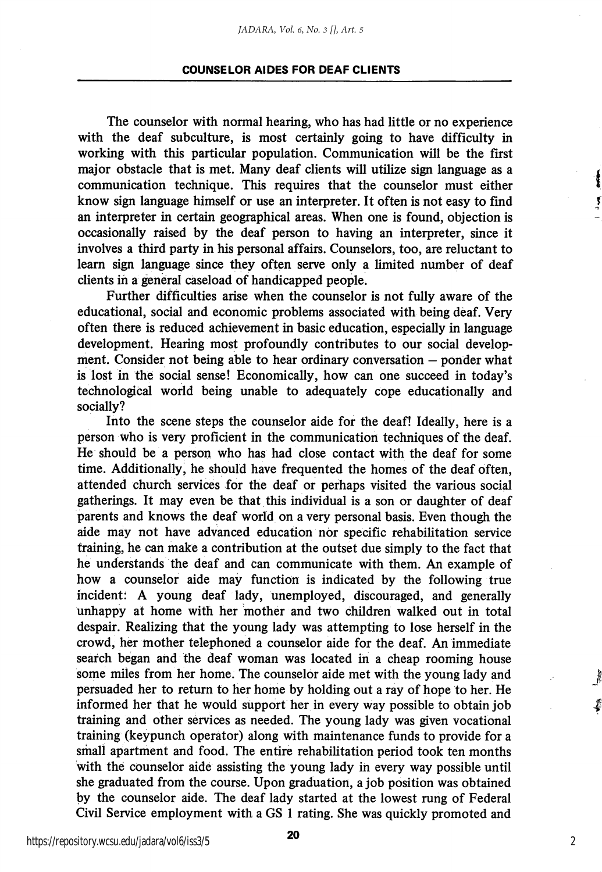#### COUNSELOR AIDES FOR DEAF CLIENTS

The counselor with normal hearing, who has had little or no experience with the deaf subculture, is most certainly going to have difficulty in working with this particular population. Communication will be the first major obstacle that is met. Many deaf clients will utilize sign language as a communication technique. This requires that the counselor must either know sign language himself or use an interpreter. It often is not easy to find an interpreter in certain geographical areas. When one is found, objection is occasionally raised by the deaf person to having an interpreter, since it involves a third party in his personal affairs. Counselors, too, are reluctant to learn sign language since they often serve only a limited number of deaf clients in a general caseload of handicapped people.

į Ţ

Further difficulties arise when the counselor is not fully aware of the educational, social and economic problems associated with being deaf. Very often there is reduced achievement in basic education, especially in language development. Hearing most profoundly contributes to our social develop ment. Consider not being able to hear ordinary conversation — ponder what is lost in the social sense! Economically, how can one succeed in today's technological world being unable to adequately cope educationally and socially?

Into the scene steps the counselor aide for the deaf! Ideally, here is a person who is very proficient in the communication techniques of the deaf. He should be a person who has had close contact with the deaf for some time. Additionally, he should have frequented the homes of the deaf often, attended church services for the deaf or perhaps visited the various social gatherings. It may even be that this individual is a son or daughter of deaf parents and knows the deaf world on a very personal basis. Even though the aide may not have advanced education nor specific rehabilitation service training, he can make a contribution at the outset due simply to the fact that he understands the deaf and can communicate with them. An example of how a counselor aide may function is indicated by the following true incident: A young deaf lady, unemployed, discouraged, and generally unhappy at home with her mother and two children walked out in total despair. Realizing that the young lady was attempting to lose herself in the crowd, her mother telephoned a counselor aide for the deaf. An immediate search began and the deaf woman was located in a cheap rooming house some miles from her home. The counselor aide met with the young lady and persuaded her to return to her home by holding out a ray of hope to her. He informed her that he would support her in every way possible to obtain job training and other services as needed. The young lady was given vocational training (keypunch operator) along with maintenance funds to provide for a small apartment and food. The entire rehabilitation period took ten months with the counselor aide assisting the young lady in every way possible until she graduated from the course. Upon graduation, a job position was obtained by the counselor aide. The deaf lady started at the lowest rung of Federal Civil Service employment with a GS 1 rating. She was quickly promoted and